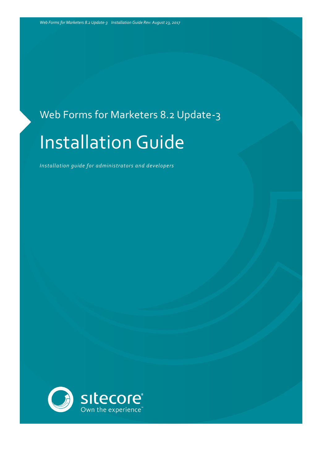# Web Forms for Marketers 8.2 Update-3 Installation Guide

*Installation guide for administrators and developers*

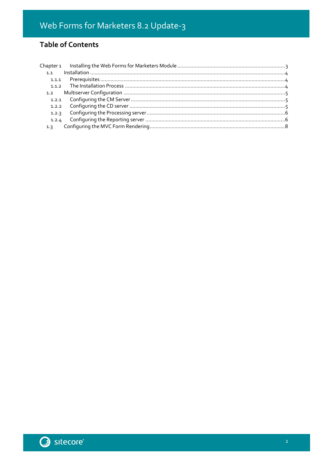### **Table of Contents**

| 1.1   |  |
|-------|--|
| 1.1.1 |  |
|       |  |
| 1.2   |  |
|       |  |
|       |  |
| 1.2.3 |  |
| 1.2.4 |  |
| 1.3   |  |

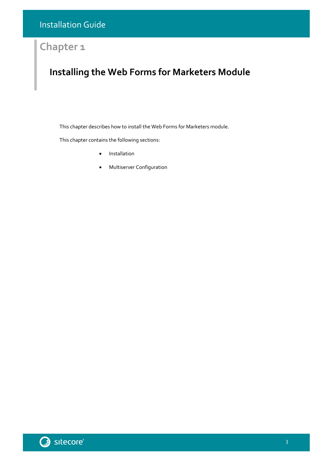## **Chapter 1**

# <span id="page-2-0"></span>**Installing the Web Forms for Marketers Module**

This chapter describes how to install the Web Forms for Marketers module.

This chapter contains the following sections:

- **•** [Installation](#page-3-0)
- [Multiserver Configuration](#page-4-0)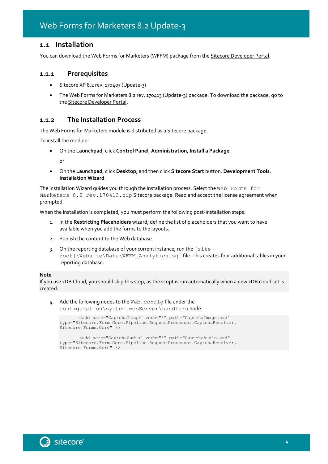#### <span id="page-3-0"></span>**1.1 Installation**

<span id="page-3-1"></span>You can download the Web Forms for Marketers (WFFM) package from th[e Sitecore Developer Portal.](https://dev.sitecore.net/)

#### **1.1.1 Prerequisites**

- Sitecore XP 8.2 rev. 170407 (Update-3)
- The Web Forms for Marketers 8.2 rev. 170413 (Update-3) package. To download the package, go to the [Sitecore Developer Portal.](https://dev.sitecore.net/)

#### <span id="page-3-2"></span>**1.1.2 The Installation Process**

The Web Forms for Marketers module is distributed as a Sitecore package.

To install the module:

On the **Launchpad**, click **Control Panel**, **Administration**, **Install a Package**.

or

 On the **Launchpad**, click **Desktop**, and then click **Sitecore Start** button, **Development Tools**, **Installation Wizard**.

The Installation Wizard quides you through the installation process. Select the Web Forms for Marketers 8.2 rev.170413.zip Sitecore package. Read and accept the license agreement when prompted.

When the installation is completed, you must perform the following post-installation steps:

- 1. In the **Restricting Placeholders** wizard, define the list of placeholders that you want to have available when you add the forms to the layouts.
- 2. Publish the content to the Web database.
- 3. On the reporting database of your current instance, run the [site root]\Website\Data\WFFM\_Analytics.sql file. This creates four additional tables in your reporting database.

#### **Note**

If you use xDB Cloud, you should skip this step, as the script is run automatically when a new xDB cloud set is created.

4. Add the following nodes to the Web.config file under the configuration\system.webServer\handlers node

```
<add name="CaptchaImage" verb="*" path="CaptchaImage.axd"
type="Sitecore.Form.Core.Pipeline.RequestProcessor.CaptchaResolver, 
Sitecore.Forms.Core" />
```
<add name="CaptchaAudio" verb="\*" path="CaptchaAudio.axd" type="Sitecore.Form.Core.Pipeline.RequestProcessor.CaptchaResolver, Sitecore.Forms.Core" />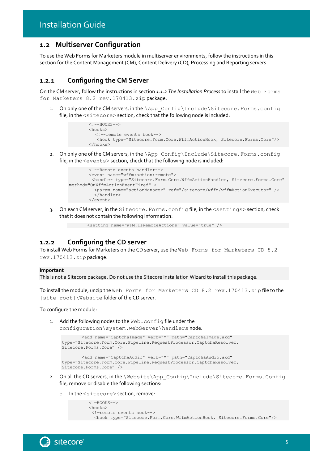#### <span id="page-4-0"></span>**1.2 Multiserver Configuration**

To use the Web Forms for Marketers module in multiserver environments, follow the instructions in this section for the Content Management (CM), Content Delivery (CD), Processing and Reporting servers.

#### <span id="page-4-1"></span>**1.2.1 Configuring the CM Server**

On the CM server, follow the instructions in section *[1.1.2](#page-3-2) [The Installation Process](#page-3-2)* to install the Web Forms for Marketers 8.2 rev.170413.zip package.

1. On only one of the CM servers, in the \App\_Config\Include\Sitecore.Forms.config file, in the <sitecore> section, check that the following node is included:

```
\langle!--HOOKS-->
<hooks>
  <!--remote events hook-->
    <hook type="Sitecore.Form.Core.WffmActionHook, Sitecore.Forms.Core"/>
</hooks>
```
2. On only one of the CM servers, in the \App\_Config\Include\Sitecore.Forms.config file, in the <events> section, check that the following node is included:

```
<!--Remote events handler-->
       <event name="wffm:action:remote">
        <handler type="Sitecore.Form.Core.WffmActionHandler, Sitecore.Forms.Core" 
method="OnWffmActionEventFired" > 
          <param name="actionManager" ref="/sitecore/wffm/wffmActionExecutor" /> 
          </handler>
       </event>
```
3. On each CM server, in the Sitecore.Forms.config file, in the <settings> section, check that it does not contain the following information:

```
<setting name="WFM.IsRemoteActions" value="true" />
```
#### <span id="page-4-2"></span>**1.2.2 Configuring the CD server**

To install Web Forms for Marketers on the CD server, use the Web Forms for Marketers CD 8.2 rev.170413.zip package.

#### **Important**

This is not a Sitecore package. Do not use the Sitecore Installation Wizard to install this package.

To install the module, unzip the Web Forms for Marketers CD 8.2 rev.170413.zip file to the [site root]\Website folder of the CD server.

To configure the module:

1. Add the following nodes to the Web.config file under the

```
configuration\system.webServer\handlers node.
```

```
<add name="CaptchaImage" verb="*" path="CaptchaImage.axd" 
type="Sitecore.Form.Core.Pipeline.RequestProcessor.CaptchaResolver, 
Sitecore.Forms.Core" />
```

```
<add name="CaptchaAudio" verb="*" path="CaptchaAudio.axd" 
type="Sitecore.Form.Core.Pipeline.RequestProcessor.CaptchaResolver, 
Sitecore.Forms.Core" />
```
- 2. On all the CD servers, in the \Website\App\_Config\Include\Sitecore.Forms.Config file, remove or disable the following sections:
	- In the <sitecore> section, remove:

```
\langle !-HOMSS--<hooks>
 <!—remote events hook--> 
   <hook type="Sitecore.Form.Core.WffmActionHook, Sitecore.Forms.Core"/>
```
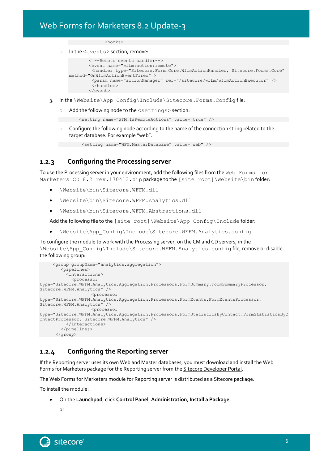<hooks>

o In the <events> section, remove:

```
<!--Remote events handler-->
       <event name="wffm:action:remote">
        <handler type="Sitecore.Form.Core.WffmActionHandler, Sitecore.Forms.Core" 
method="OnWffmActionEventFired" >
       <param name="actionManager" ref="/sitecore/wffm/wffmActionExecutor" />
        </handler>
       </event>
```
- 3. In the \Website\App\_Config\Include\Sitecore.Forms.Config file:
	- o Add the following node to the <settings> section:

```
<setting name="WFM.IsRemoteActions" value="true" />
```
 $\circ$  Configure the following node according to the name of the connection string related to the target database. For example "web".

```
<setting name="WFM.MasterDatabase" value="web" />
```
#### <span id="page-5-0"></span>**1.2.3 Configuring the Processing server**

To use the Processing server in your environment, add the following files from the Web Forms for Marketers CD 8.2 rev.170413.zip package to the [site root]\Website\bin folder:

- \Website\bin\Sitecore.WFFM.dll
- \Website\bin\Sitecore.WFFM.Analytics.dll
- \Website\bin\Sitecore.WFFM.Abstractions.dll

Add the following file to the [site root]\Website\App\_Config\Include folder:

\Website\App\_Config\Include\Sitecore.WFFM.Analytics.config

To configure the module to work with the Processing server, on the CM and CD servers, in the \Website\App\_Config\Include\Sitecore.WFFM.Analytics.config file, remove or disable the following group:

```
 <group groupName="analytics.aggregation">
         <pipelines>
           <interactions>
             <processor 
type="Sitecore.WFFM.Analytics.Aggregation.Processors.FormSummary.FormSummaryProcessor, 
Sitecore.WFFM.Analytics" />
                     <processor 
type="Sitecore.WFFM.Analytics.Aggregation.Processors.FormEvents.FormEventsProcessor, 
Sitecore.WFFM.Analytics" />
                     <processor 
type="Sitecore.WFFM.Analytics.Aggregation.Processors.FormStatisticsByContact.FormStatisticsByC
ontactProcessor, Sitecore.WFFM.Analytics" />
           </interactions>
         </pipelines>
      </group>
```
#### <span id="page-5-1"></span>**1.2.4 Configuring the Reporting server**

If the Reporting server uses its own Web and Master databases, you must download and install the Web Forms for Marketers package for the Reporting server from the [Sitecore Developer Portal.](https://dev.sitecore.net/Downloads/Web_Forms_For_Marketers.aspx)

The Web Forms for Marketers module for Reporting server is distributed as a Sitecore package.

To install the module:

On the **Launchpad**, click **Control Panel**, **Administration**, **Install a Package**.

or

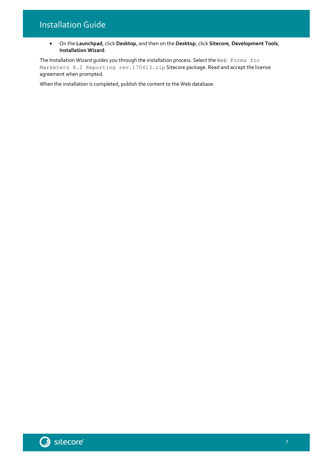## Installation Guide

 On the **Launchpad**, click **Desktop**, and then on the **Desktop**, click **Sitecore**, **Development Tools**, **Installation Wizard**.

The Installation Wizard guides you through the installation process. Select the Web Forms for Marketers 8.2 Reporting rev.170413.zip Sitecore package. Read and accept the license agreement when prompted.

When the installation is completed, publish the content to the Web database.